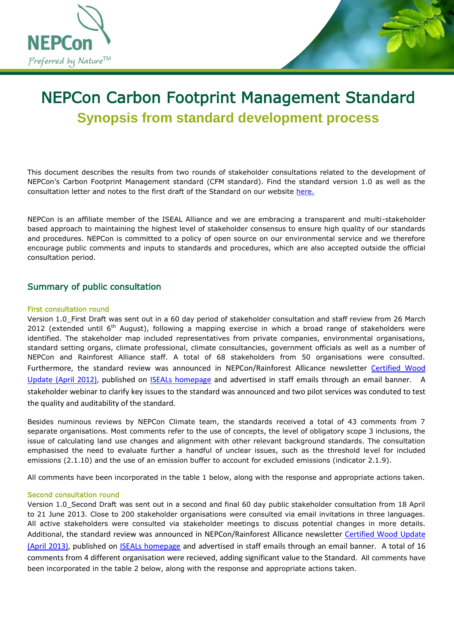



# NEPCon Carbon Footprint Management Standard **Synopsis from standard development process**

This document describes the results from two rounds of stakeholder consultations related to the development of NEPCon's Carbon Footprint Management standard (CFM standard). Find the standard version 1.0 as well as the consultation letter and notes to the first draft of the Standard on our website [here.](http://www.nepcon.net/4866/English/Certification/Industry_and_trade/Carbon_footprinting/Standard_consultation/)

NEPCon is an affiliate member of the ISEAL Alliance and we are embracing a transparent and multi-stakeholder based approach to maintaining the highest level of stakeholder consensus to ensure high quality of our standards and procedures. NEPCon is committed to a policy of open source on our environmental service and we therefore encourage public comments and inputs to standards and procedures, which are also accepted outside the official consultation period.

# Summary of public consultation

### First consultation round

Version 1.0 First Draft was sent out in a 60 day period of stakeholder consultation and staff review from 26 March 2012 (extended until  $6<sup>th</sup>$  August), following a mapping exercise in which a broad range of stakeholders were identified. The stakeholder map included representatives from private companies, environmental organisations, standard setting organs, climate professional, climate consultancies, government officials as well as a number of NEPCon and Rainforest Alliance staff. A total of 68 stakeholders from 50 organisations were consulted. Furthermore, the standard review was announced in NEPCon/Rainforest Allicance newsletter Certified Wood [Update \(April 2012\),](http://www.nepcon.net/4772/Newsletter/Default_newsletter_template/English/World_Bank_time_to_get_tough_on_forest_crime/) published on [ISEALs homepage](file:///C:/Users/gkb/Dropbox/CFM%20R&D%20docs/(http:/www.isealalliance.org/online-community/news/nepcon-opens-consultation-on-new-carbon-standard) and advertised in staff emails through an email banner. A stakeholder webinar to clarify key issues to the standard was announced and two pilot services was conduted to test the quality and auditability of the standard.

Besides numinous reviews by NEPCon Climate team, the standards received a total of 43 comments from 7 separate organisations. Most comments refer to the use of concepts, the level of obligatory scope 3 inclusions, the issue of calculating land use changes and alignment with other relevant background standards. The consultation emphasised the need to evaluate further a handful of unclear issues, such as the threshold level for included emissions (2.1.10) and the use of an emission buffer to account for excluded emissions (indicator 2.1.9).

All comments have been incorporated in the table 1 below, along with the response and appropriate actions taken.

### Second consultation round

Version 1.0\_Second Draft was sent out in a second and final 60 day public stakeholder consultation from 18 April to 21 June 2013. Close to 200 stakeholder organisations were consulted via email invitations in three languages. All active stakeholders were consulted via stakeholder meetings to discuss potential changes in more details. Additional, the standard review was announced in NEPCon/Rainforest Allicance newsletter [Certified Wood Update](http://www.nepcon.net/5385/Newsletter/Default_newsletter_template/English/Last_chance_join_key_FSC_process_defining_responsible_forestry_worldwide/)  [\(April 2013\),](http://www.nepcon.net/5385/Newsletter/Default_newsletter_template/English/Last_chance_join_key_FSC_process_defining_responsible_forestry_worldwide/) published on [ISEALs homepage](file:///C:/Users/gkb/Dropbox/CFM%20R&D%20docs/(http:/www.isealalliance.org/online-community/news/nepcon-opens-consultation-on-new-carbon-standard) and advertised in staff emails through an email banner. A total of 16 comments from 4 different organisation were recieved, adding significant value to the Standard. All comments have been incorporated in the table 2 below, along with the response and appropriate actions taken.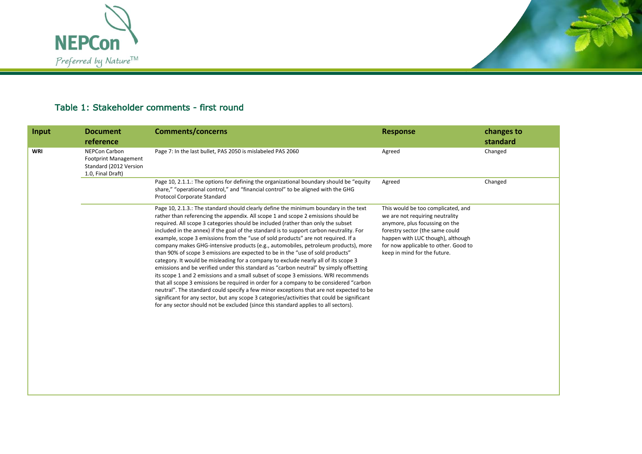



# Table 1: Stakeholder comments - first round

| Input      | <b>Document</b><br>reference                                                                       | <b>Comments/concerns</b>                                                                                                                                                                                                                                                                                                                                                                                                                                                                                                                                                                                                                                                                                                                                                                                                                                                                                                                                                                                                                                                                                                                                                                                                                                                  | <b>Response</b>                                                                                                                                                                                                                                         | changes to<br>standard |
|------------|----------------------------------------------------------------------------------------------------|---------------------------------------------------------------------------------------------------------------------------------------------------------------------------------------------------------------------------------------------------------------------------------------------------------------------------------------------------------------------------------------------------------------------------------------------------------------------------------------------------------------------------------------------------------------------------------------------------------------------------------------------------------------------------------------------------------------------------------------------------------------------------------------------------------------------------------------------------------------------------------------------------------------------------------------------------------------------------------------------------------------------------------------------------------------------------------------------------------------------------------------------------------------------------------------------------------------------------------------------------------------------------|---------------------------------------------------------------------------------------------------------------------------------------------------------------------------------------------------------------------------------------------------------|------------------------|
| <b>WRI</b> | <b>NEPCon Carbon</b><br><b>Footprint Management</b><br>Standard (2012 Version<br>1.0, Final Draft) | Page 7: In the last bullet, PAS 2050 is mislabeled PAS 2060                                                                                                                                                                                                                                                                                                                                                                                                                                                                                                                                                                                                                                                                                                                                                                                                                                                                                                                                                                                                                                                                                                                                                                                                               | Agreed                                                                                                                                                                                                                                                  | Changed                |
|            |                                                                                                    | Page 10, 2.1.1.: The options for defining the organizational boundary should be "equity"<br>share," "operational control," and "financial control" to be aligned with the GHG<br>Protocol Corporate Standard                                                                                                                                                                                                                                                                                                                                                                                                                                                                                                                                                                                                                                                                                                                                                                                                                                                                                                                                                                                                                                                              | Agreed                                                                                                                                                                                                                                                  | Changed                |
|            |                                                                                                    | Page 10, 2.1.3.: The standard should clearly define the minimum boundary in the text<br>rather than referencing the appendix. All scope 1 and scope 2 emissions should be<br>required. All scope 3 categories should be included (rather than only the subset<br>included in the annex) if the goal of the standard is to support carbon neutrality. For<br>example, scope 3 emissions from the "use of sold products" are not required. If a<br>company makes GHG-intensive products (e.g., automobiles, petroleum products), more<br>than 90% of scope 3 emissions are expected to be in the "use of sold products"<br>category. It would be misleading for a company to exclude nearly all of its scope 3<br>emissions and be verified under this standard as "carbon neutral" by simply offsetting<br>its scope 1 and 2 emissions and a small subset of scope 3 emissions. WRI recommends<br>that all scope 3 emissions be required in order for a company to be considered "carbon"<br>neutral". The standard could specify a few minor exceptions that are not expected to be<br>significant for any sector, but any scope 3 categories/activities that could be significant<br>for any sector should not be excluded (since this standard applies to all sectors). | This would be too complicated, and<br>we are not requiring neutrality<br>anymore, plus focussing on the<br>forestry sector (the same could<br>happen with LUC though), although<br>for now applicable to other. Good to<br>keep in mind for the future. |                        |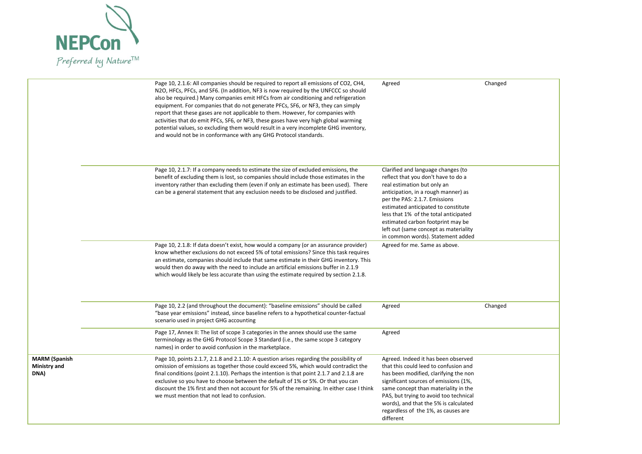

|                                                     | Page 10, 2.1.6: All companies should be required to report all emissions of CO2, CH4,<br>N2O, HFCs, PFCs, and SF6. (In addition, NF3 is now required by the UNFCCC so should<br>also be required.) Many companies emit HFCs from air conditioning and refrigeration<br>equipment. For companies that do not generate PFCs, SF6, or NF3, they can simply<br>report that these gases are not applicable to them. However, for companies with<br>activities that do emit PFCs, SF6, or NF3, these gases have very high global warming<br>potential values, so excluding them would result in a very incomplete GHG inventory,<br>and would not be in conformance with any GHG Protocol standards. | Agreed                                                                                                                                                                                                                                                                                                                                                                              | Changed |
|-----------------------------------------------------|------------------------------------------------------------------------------------------------------------------------------------------------------------------------------------------------------------------------------------------------------------------------------------------------------------------------------------------------------------------------------------------------------------------------------------------------------------------------------------------------------------------------------------------------------------------------------------------------------------------------------------------------------------------------------------------------|-------------------------------------------------------------------------------------------------------------------------------------------------------------------------------------------------------------------------------------------------------------------------------------------------------------------------------------------------------------------------------------|---------|
|                                                     | Page 10, 2.1.7: If a company needs to estimate the size of excluded emissions, the<br>benefit of excluding them is lost, so companies should include those estimates in the<br>inventory rather than excluding them (even if only an estimate has been used). There<br>can be a general statement that any exclusion needs to be disclosed and justified.                                                                                                                                                                                                                                                                                                                                      | Clarified and language changes (to<br>reflect that you don't have to do a<br>real estimation but only an<br>anticipation, in a rough manner) as<br>per the PAS: 2.1.7. Emissions<br>estimated anticipated to constitute<br>less that 1% of the total anticipated<br>estimated carbon footprint may be<br>left out (same concept as materiality<br>in common words). Statement added |         |
|                                                     | Page 10, 2.1.8: If data doesn't exist, how would a company (or an assurance provider)<br>know whether exclusions do not exceed 5% of total emissions? Since this task requires<br>an estimate, companies should include that same estimate in their GHG inventory. This<br>would then do away with the need to include an artificial emissions buffer in 2.1.9<br>which would likely be less accurate than using the estimate required by section 2.1.8.                                                                                                                                                                                                                                       | Agreed for me. Same as above.                                                                                                                                                                                                                                                                                                                                                       |         |
|                                                     | Page 10, 2.2 (and throughout the document): "baseline emissions" should be called<br>"base year emissions" instead, since baseline refers to a hypothetical counter-factual<br>scenario used in project GHG accounting                                                                                                                                                                                                                                                                                                                                                                                                                                                                         | Agreed                                                                                                                                                                                                                                                                                                                                                                              | Changed |
|                                                     | Page 17, Annex II: The list of scope 3 categories in the annex should use the same<br>terminology as the GHG Protocol Scope 3 Standard (i.e., the same scope 3 category<br>names) in order to avoid confusion in the marketplace.                                                                                                                                                                                                                                                                                                                                                                                                                                                              | Agreed                                                                                                                                                                                                                                                                                                                                                                              |         |
| <b>MARM</b> (Spanish<br><b>Ministry and</b><br>DNA) | Page 10, points 2.1.7, 2.1.8 and 2.1.10: A question arises regarding the possibility of<br>omission of emissions as together those could exceed 5%, which would contradict the<br>final conditions (point 2.1.10). Perhaps the intention is that point 2.1.7 and 2.1.8 are<br>exclusive so you have to choose between the default of 1% or 5%. Or that you can<br>discount the 1% first and then not account for 5% of the remaining. In either case I think<br>we must mention that not lead to confusion.                                                                                                                                                                                    | Agreed. Indeed it has been observed<br>that this could leed to confusion and<br>has been modified, clarifying the non<br>significant sources of emissions (1%,<br>same concept than materiality in the<br>PAS, but trying to avoid too technical<br>words), and that the 5% is calculated<br>regardless of the 1%, as causes are<br>different                                       |         |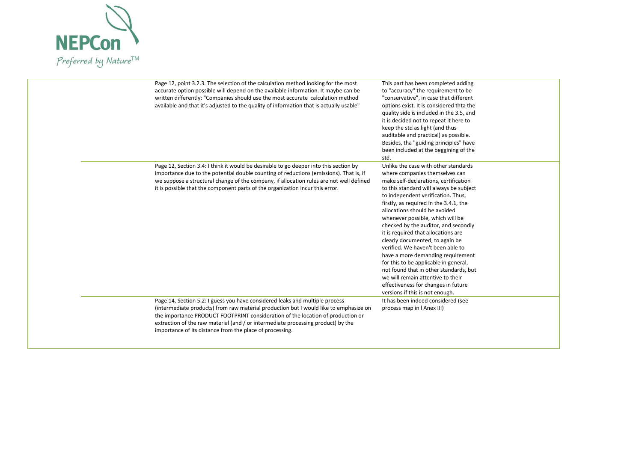

| Page 12, point 3.2.3. The selection of the calculation method looking for the most<br>accurate option possible will depend on the available information. It maybe can be<br>written differently: "Companies should use the most accurate calculation method<br>available and that it's adjusted to the quality of information that is actually usable"                                                   | This part has been completed adding<br>to "accuracy" the requirement to be<br>"conservative", in case that different<br>options exist. It is considered thta the<br>quality side is included in the 3.5, and<br>it is decided not to repeat it here to<br>keep the std as light (and thus<br>auditable and practical) as possible.<br>Besides, tha "guiding principles" have<br>been included at the beggining of the<br>std.                                                                                                                                                                                                                                                                                 |
|----------------------------------------------------------------------------------------------------------------------------------------------------------------------------------------------------------------------------------------------------------------------------------------------------------------------------------------------------------------------------------------------------------|---------------------------------------------------------------------------------------------------------------------------------------------------------------------------------------------------------------------------------------------------------------------------------------------------------------------------------------------------------------------------------------------------------------------------------------------------------------------------------------------------------------------------------------------------------------------------------------------------------------------------------------------------------------------------------------------------------------|
| Page 12, Section 3.4: I think it would be desirable to go deeper into this section by<br>importance due to the potential double counting of reductions (emissions). That is, if<br>we suppose a structural change of the company, if allocation rules are not well defined<br>it is possible that the component parts of the organization incur this error.                                              | Unlike the case with other standards<br>where companies themselves can<br>make self-declarations, certification<br>to this standard will always be subject<br>to independent verification. Thus,<br>firstly, as required in the 3.4.1, the<br>allocations should be avoided<br>whenever possible, which will be<br>checked by the auditor, and secondly<br>it is required that allocations are<br>clearly documented, to again be<br>verified. We haven't been able to<br>have a more demanding requirement<br>for this to be applicable in general,<br>not found that in other standards, but<br>we will remain attentive to their<br>effectiveness for changes in future<br>versions if this is not enough. |
| Page 14, Section 5.2: I guess you have considered leaks and multiple process<br>(intermediate products) from raw material production but I would like to emphasize on<br>the importance PRODUCT FOOTPRINT consideration of the location of production or<br>extraction of the raw material (and / or intermediate processing product) by the<br>importance of its distance from the place of processing. | It has been indeed considered (see<br>process map in I Anex III)                                                                                                                                                                                                                                                                                                                                                                                                                                                                                                                                                                                                                                              |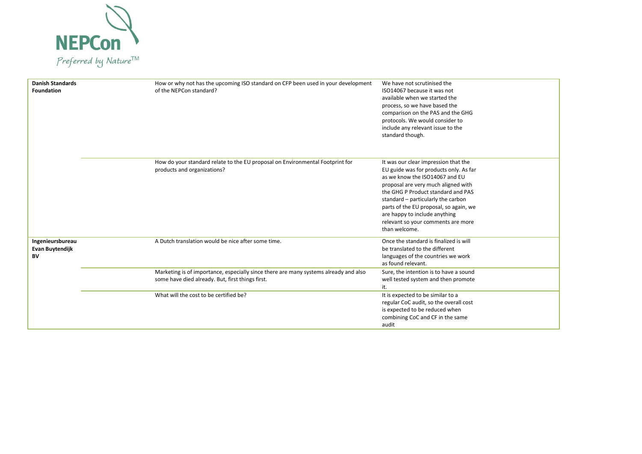

| <b>Danish Standards</b><br><b>Foundation</b>     | How or why not has the upcoming ISO standard on CFP been used in your development<br>of the NEPCon standard?                             | We have not scrutinised the<br>ISO14067 because it was not<br>available when we started the<br>process, so we have based the<br>comparison on the PAS and the GHG<br>protocols. We would consider to<br>include any relevant issue to the<br>standard though.                                                                                                         |
|--------------------------------------------------|------------------------------------------------------------------------------------------------------------------------------------------|-----------------------------------------------------------------------------------------------------------------------------------------------------------------------------------------------------------------------------------------------------------------------------------------------------------------------------------------------------------------------|
|                                                  | How do your standard relate to the EU proposal on Environmental Footprint for<br>products and organizations?                             | It was our clear impression that the<br>EU guide was for products only. As far<br>as we know the ISO14067 and EU<br>proposal are very much aligned with<br>the GHG P Product standard and PAS<br>standard - particularly the carbon<br>parts of the EU proposal, so again, we<br>are happy to include anything<br>relevant so your comments are more<br>than welcome. |
| Ingenieursbureau<br>Evan Buytendijk<br><b>BV</b> | A Dutch translation would be nice after some time.                                                                                       | Once the standard is finalized is will<br>be translated to the different<br>languages of the countries we work<br>as found relevant.                                                                                                                                                                                                                                  |
|                                                  | Marketing is of importance, especially since there are many systems already and also<br>some have died already. But, first things first. | Sure, the intention is to have a sound<br>well tested system and then promote<br>it.                                                                                                                                                                                                                                                                                  |
|                                                  | What will the cost to be certified be?                                                                                                   | It is expected to be similar to a<br>regular CoC audit, so the overall cost<br>is expected to be reduced when<br>combining CoC and CF in the same<br>audit                                                                                                                                                                                                            |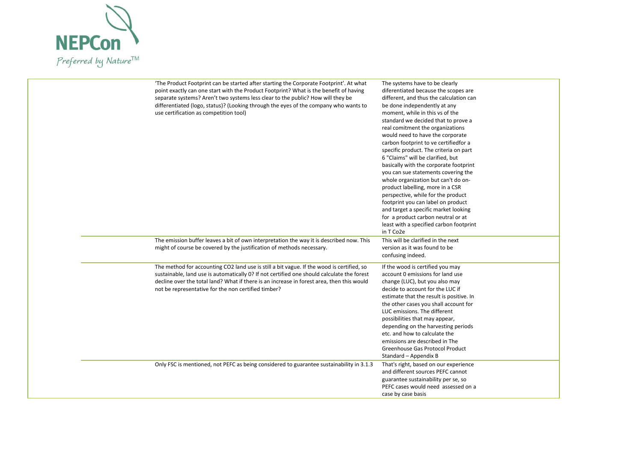

| 'The Product Footprint can be started after starting the Corporate Footprint'. At what<br>point exactly can one start with the Product Footprint? What is the benefit of having<br>separate systems? Aren't two systems less clear to the public? How will they be<br>differentiated (logo, status)? (Looking through the eyes of the company who wants to<br>use certification as competition tool) | The systems have to be clearly<br>diferentiated because the scopes are<br>different, and thus the calculation can<br>be done independently at any<br>moment, while in this vs of the<br>standard we decided that to prove a<br>real comitment the organizations<br>would need to have the corporate<br>carbon footprint to ve certifiedfor a<br>specific product. The criteria on part<br>6 "Claims" will be clarified, but<br>basically with the corporate footprint<br>you can sue statements covering the<br>whole organization but can't do on-<br>product labelling, more in a CSR<br>perspective, while for the product<br>footprint you can label on product<br>and target a specific market looking<br>for a product carbon neutral or at<br>least with a specified carbon footprint<br>in T Co2e |
|------------------------------------------------------------------------------------------------------------------------------------------------------------------------------------------------------------------------------------------------------------------------------------------------------------------------------------------------------------------------------------------------------|-----------------------------------------------------------------------------------------------------------------------------------------------------------------------------------------------------------------------------------------------------------------------------------------------------------------------------------------------------------------------------------------------------------------------------------------------------------------------------------------------------------------------------------------------------------------------------------------------------------------------------------------------------------------------------------------------------------------------------------------------------------------------------------------------------------|
| The emission buffer leaves a bit of own interpretation the way it is described now. This<br>might of course be covered by the justification of methods necessary.                                                                                                                                                                                                                                    | This will be clarified in the next<br>version as it was found to be<br>confusing indeed.                                                                                                                                                                                                                                                                                                                                                                                                                                                                                                                                                                                                                                                                                                                  |
| The method for accounting CO2 land use is still a bit vague. If the wood is certified, so<br>sustainable, land use is automatically 0? If not certified one should calculate the forest<br>decline over the total land? What if there is an increase in forest area, then this would<br>not be representative for the non certified timber?                                                          | If the wood is certified you may<br>account 0 emissions for land use<br>change (LUC), but you also may<br>decide to account for the LUC if<br>estimate that the result is positive. In<br>the other cases you shall account for<br>LUC emissions. The different<br>possibilities that may appear,<br>depending on the harvesting periods<br>etc. and how to calculate the<br>emissions are described in The<br>Greenhouse Gas Protocol Product<br>Standard - Appendix B                                                                                                                                                                                                                                                                                                                                   |
| Only FSC is mentioned, not PEFC as being considered to guarantee sustainability in 3.1.3                                                                                                                                                                                                                                                                                                             | That's right, based on our experience<br>and different sources PEFC cannot<br>guarantee sustainability per se, so<br>PEFC cases would need assessed on a<br>case by case basis                                                                                                                                                                                                                                                                                                                                                                                                                                                                                                                                                                                                                            |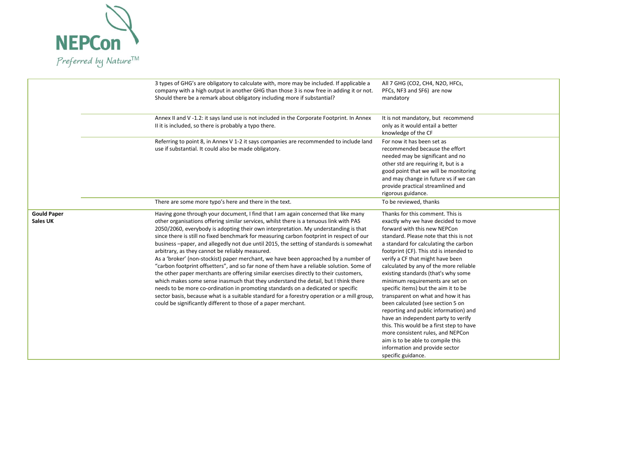

|                                | 3 types of GHG's are obligatory to calculate with, more may be included. If applicable a<br>company with a high output in another GHG than those 3 is now free in adding it or not.<br>Should there be a remark about obligatory including more if substantial?                                                                                                                                                                                                                                                                                                                                                                                                                                                                                                                                                                                                                                                                                                                                                                                                                                                                      | All 7 GHG (CO2, CH4, N2O, HFCs,<br>PFCs, NF3 and SF6) are now<br>mandatory                                                                                                                                                                                                                                                                                                                                                                                                                                                                                                                                                                                                                                                                                                     |
|--------------------------------|--------------------------------------------------------------------------------------------------------------------------------------------------------------------------------------------------------------------------------------------------------------------------------------------------------------------------------------------------------------------------------------------------------------------------------------------------------------------------------------------------------------------------------------------------------------------------------------------------------------------------------------------------------------------------------------------------------------------------------------------------------------------------------------------------------------------------------------------------------------------------------------------------------------------------------------------------------------------------------------------------------------------------------------------------------------------------------------------------------------------------------------|--------------------------------------------------------------------------------------------------------------------------------------------------------------------------------------------------------------------------------------------------------------------------------------------------------------------------------------------------------------------------------------------------------------------------------------------------------------------------------------------------------------------------------------------------------------------------------------------------------------------------------------------------------------------------------------------------------------------------------------------------------------------------------|
|                                | Annex II and V -1.2: it says land use is not included in the Corporate Footprint. In Annex<br>Il it is included, so there is probably a typo there.                                                                                                                                                                                                                                                                                                                                                                                                                                                                                                                                                                                                                                                                                                                                                                                                                                                                                                                                                                                  | It is not mandatory, but recommend<br>only as it would entail a better<br>knowledge of the CF                                                                                                                                                                                                                                                                                                                                                                                                                                                                                                                                                                                                                                                                                  |
|                                | Referring to point 8, in Annex V 1-2 it says companies are recommended to include land<br>use if substantial. It could also be made obligatory.                                                                                                                                                                                                                                                                                                                                                                                                                                                                                                                                                                                                                                                                                                                                                                                                                                                                                                                                                                                      | For now it has been set as<br>recommended because the effort<br>needed may be significant and no<br>other std are requiring it, but is a<br>good point that we will be monitoring<br>and may change in future vs if we can<br>provide practical streamlined and<br>rigorous guidance.                                                                                                                                                                                                                                                                                                                                                                                                                                                                                          |
|                                | There are some more typo's here and there in the text.                                                                                                                                                                                                                                                                                                                                                                                                                                                                                                                                                                                                                                                                                                                                                                                                                                                                                                                                                                                                                                                                               | To be reviewed, thanks                                                                                                                                                                                                                                                                                                                                                                                                                                                                                                                                                                                                                                                                                                                                                         |
| <b>Gould Paper</b><br>Sales UK | Having gone through your document, I find that I am again concerned that like many<br>other organisations offering similar services, whilst there is a tenuous link with PAS<br>2050/2060, everybody is adopting their own interpretation. My understanding is that<br>since there is still no fixed benchmark for measuring carbon footprint in respect of our<br>business -paper, and allegedly not due until 2015, the setting of standards is somewhat<br>arbitrary, as they cannot be reliably measured.<br>As a 'broker' (non-stockist) paper merchant, we have been approached by a number of<br>"carbon footprint offsetters", and so far none of them have a reliable solution. Some of<br>the other paper merchants are offering similar exercises directly to their customers,<br>which makes some sense inasmuch that they understand the detail, but I think there<br>needs to be more co-ordination in promoting standards on a dedicated or specific<br>sector basis, because what is a suitable standard for a forestry operation or a mill group,<br>could be significantly different to those of a paper merchant. | Thanks for this comment. This is<br>exactly why we have decided to move<br>forward with this new NEPCon<br>standard. Please note that this is not<br>a standard for calculating the carbon<br>footprint (CF). This std is intended to<br>verify a CF that might have been<br>calculated by any of the more reliable<br>existing standards (that's why some<br>minimum requirements are set on<br>specific items) but the aim it to be<br>transparent on what and how it has<br>been calculated (see section 5 on<br>reporting and public information) and<br>have an independent party to verify<br>this. This would be a first step to have<br>more consistent rules, and NEPCon<br>aim is to be able to compile this<br>information and provide sector<br>specific guidance. |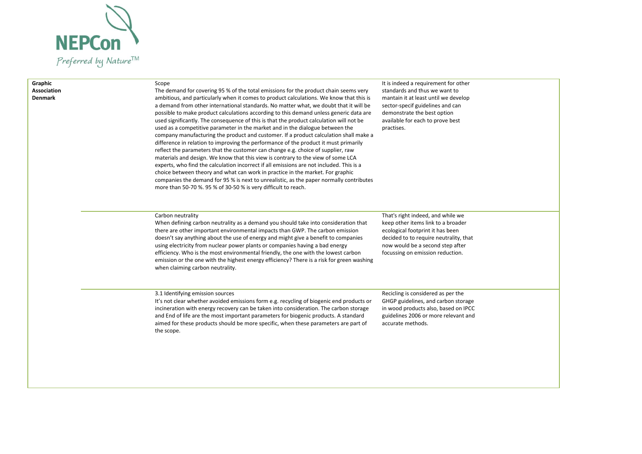

#### **Graphic Association Denmark**  Scope The demand for covering 95 % of the total emissions for the product chain seems very ambitious, and particularly when it comes to product calculations. We know that this is a demand from other international standards. No matter what, we doubt that it will be possible to make product calculations according to this demand unless generic data are used significantly. The consequence of this is that the product calculation will not be used as a competitive parameter in the market and in the dialogue between the company manufacturing the product and customer. If a product calculation shall make a difference in relation to improving the performance of the product it must primarily reflect the parameters that the customer can change e.g. choice of supplier, raw materials and design. We know that this view is contrary to the view of some LCA experts, who find the calculation incorrect if all emissions are not included. This is a choice between theory and what can work in practice in the market. For graphic companies the demand for 95 % is next to unrealistic, as the paper normally contributes more than 50-70 %. 95 % of 30-50 % is very difficult to reach. It is indeed a requirement for other standards and thus we want to mantain it at least until we develop sector-specif guidelines and can demonstrate the best option available for each to prove best practises. Carbon neutrality When defining carbon neutrality as a demand you should take into consideration that there are other important environmental impacts than GWP. The carbon emission doesn't say anything about the use of energy and might give a benefit to companies using electricity from nuclear power plants or companies having a bad energy efficiency. Who is the most environmental friendly, the one with the lowest carbon emission or the one with the highest energy efficiency? There is a risk for green washing when claiming carbon neutrality. That's right indeed, and while we keep other items link to a broader ecological footprint it has been decided to to require neutrality, that now would be a second step after focussing on emission reduction. 3.1 Identifying emission sources It's not clear whether avoided emissions form e.g. recycling of biogenic end products or incineration with energy recovery can be taken into consideration. The carbon storage and End of life are the most important parameters for biogenic products. A standard aimed for these products should be more specific, when these parameters are part of the scope. Recicling is considered as per the GHGP guidelines, and carbon storage in wood products also, based on IPCC guidelines 2006 or more relevant and accurate methods.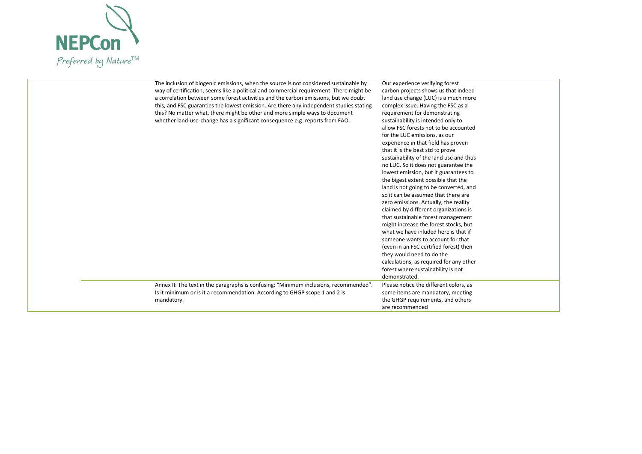

| The inclusion of biogenic emissions, when the source is not considered sustainable by<br>Our experience verifying forest<br>way of certification, seems like a political and commercial requirement. There might be<br>carbon projects shows us that indeed<br>a correlation between some forest activities and the carbon emissions, but we doubt<br>land use change (LUC) is a much more<br>this, and FSC guaranties the lowest emission. Are there any independent studies stating<br>complex issue. Having the FSC as a<br>this? No matter what, there might be other and more simple ways to document<br>requirement for demonstrating<br>whether land-use-change has a significant consequence e.g. reports from FAO.<br>sustainability is intended only to<br>allow FSC forests not to be accounted<br>for the LUC emissions, as our<br>experience in that field has proven<br>that it is the best std to prove<br>sustainability of the land use and thus<br>no LUC. So it does not guarantee the<br>lowest emission, but it guarantees to<br>the bigest extent possible that the<br>land is not going to be converted, and<br>so it can be assumed that there are<br>zero emissions. Actually, the reality<br>claimed by different organizations is<br>that sustainable forest management<br>might increase the forest stocks, but<br>what we have inluded here is that if<br>someone wants to account for that<br>(even in an FSC certified forest) then<br>they would need to do the<br>calculations, as required for any other<br>forest where sustainability is not<br>demonstrated.<br>Annex II: The text in the paragraphs is confusing: "Minimum inclusions, recommended".<br>Please notice the different colors, as<br>Is it minimum or is it a recommendation. According to GHGP scope 1 and 2 is<br>some items are mandatory, meeting<br>the GHGP requirements, and others<br>mandatory.<br>are recommended |  |  |
|--------------------------------------------------------------------------------------------------------------------------------------------------------------------------------------------------------------------------------------------------------------------------------------------------------------------------------------------------------------------------------------------------------------------------------------------------------------------------------------------------------------------------------------------------------------------------------------------------------------------------------------------------------------------------------------------------------------------------------------------------------------------------------------------------------------------------------------------------------------------------------------------------------------------------------------------------------------------------------------------------------------------------------------------------------------------------------------------------------------------------------------------------------------------------------------------------------------------------------------------------------------------------------------------------------------------------------------------------------------------------------------------------------------------------------------------------------------------------------------------------------------------------------------------------------------------------------------------------------------------------------------------------------------------------------------------------------------------------------------------------------------------------------------------------------------------------------------------------------------------------------------------------------------------------------|--|--|
|                                                                                                                                                                                                                                                                                                                                                                                                                                                                                                                                                                                                                                                                                                                                                                                                                                                                                                                                                                                                                                                                                                                                                                                                                                                                                                                                                                                                                                                                                                                                                                                                                                                                                                                                                                                                                                                                                                                                |  |  |
|                                                                                                                                                                                                                                                                                                                                                                                                                                                                                                                                                                                                                                                                                                                                                                                                                                                                                                                                                                                                                                                                                                                                                                                                                                                                                                                                                                                                                                                                                                                                                                                                                                                                                                                                                                                                                                                                                                                                |  |  |
|                                                                                                                                                                                                                                                                                                                                                                                                                                                                                                                                                                                                                                                                                                                                                                                                                                                                                                                                                                                                                                                                                                                                                                                                                                                                                                                                                                                                                                                                                                                                                                                                                                                                                                                                                                                                                                                                                                                                |  |  |
|                                                                                                                                                                                                                                                                                                                                                                                                                                                                                                                                                                                                                                                                                                                                                                                                                                                                                                                                                                                                                                                                                                                                                                                                                                                                                                                                                                                                                                                                                                                                                                                                                                                                                                                                                                                                                                                                                                                                |  |  |
|                                                                                                                                                                                                                                                                                                                                                                                                                                                                                                                                                                                                                                                                                                                                                                                                                                                                                                                                                                                                                                                                                                                                                                                                                                                                                                                                                                                                                                                                                                                                                                                                                                                                                                                                                                                                                                                                                                                                |  |  |
|                                                                                                                                                                                                                                                                                                                                                                                                                                                                                                                                                                                                                                                                                                                                                                                                                                                                                                                                                                                                                                                                                                                                                                                                                                                                                                                                                                                                                                                                                                                                                                                                                                                                                                                                                                                                                                                                                                                                |  |  |
|                                                                                                                                                                                                                                                                                                                                                                                                                                                                                                                                                                                                                                                                                                                                                                                                                                                                                                                                                                                                                                                                                                                                                                                                                                                                                                                                                                                                                                                                                                                                                                                                                                                                                                                                                                                                                                                                                                                                |  |  |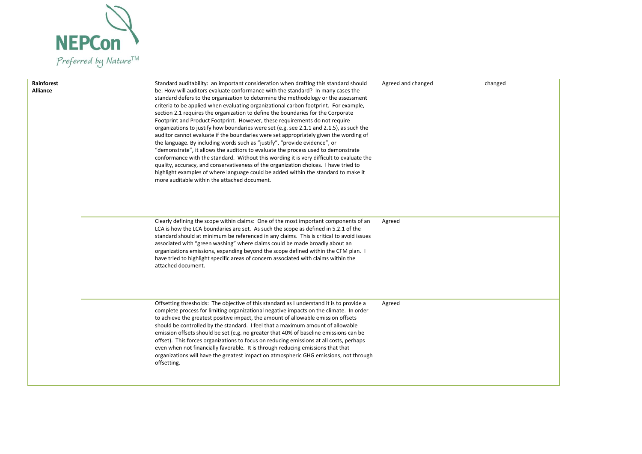

| Rainforest<br><b>Alliance</b> | Standard auditability: an important consideration when drafting this standard should<br>be: How will auditors evaluate conformance with the standard? In many cases the<br>standard defers to the organization to determine the methodology or the assessment<br>criteria to be applied when evaluating organizational carbon footprint. For example,<br>section 2.1 requires the organization to define the boundaries for the Corporate<br>Footprint and Product Footprint. However, these requirements do not require<br>organizations to justify how boundaries were set (e.g. see 2.1.1 and 2.1.5), as such the<br>auditor cannot evaluate if the boundaries were set appropriately given the wording of<br>the language. By including words such as "justify", "provide evidence", or<br>"demonstrate", it allows the auditors to evaluate the process used to demonstrate<br>conformance with the standard. Without this wording it is very difficult to evaluate the<br>quality, accuracy, and conservativeness of the organization choices. I have tried to<br>highlight examples of where language could be added within the standard to make it<br>more auditable within the attached document. | Agreed and changed<br>changed |
|-------------------------------|------------------------------------------------------------------------------------------------------------------------------------------------------------------------------------------------------------------------------------------------------------------------------------------------------------------------------------------------------------------------------------------------------------------------------------------------------------------------------------------------------------------------------------------------------------------------------------------------------------------------------------------------------------------------------------------------------------------------------------------------------------------------------------------------------------------------------------------------------------------------------------------------------------------------------------------------------------------------------------------------------------------------------------------------------------------------------------------------------------------------------------------------------------------------------------------------------------|-------------------------------|
|                               | Clearly defining the scope within claims: One of the most important components of an<br>LCA is how the LCA boundaries are set. As such the scope as defined in 5.2.1 of the<br>standard should at minimum be referenced in any claims. This is critical to avoid issues<br>associated with "green washing" where claims could be made broadly about an<br>organizations emissions, expanding beyond the scope defined within the CFM plan. I<br>have tried to highlight specific areas of concern associated with claims within the<br>attached document.                                                                                                                                                                                                                                                                                                                                                                                                                                                                                                                                                                                                                                                  | Agreed                        |
|                               | Offsetting thresholds: The objective of this standard as I understand it is to provide a<br>complete process for limiting organizational negative impacts on the climate. In order<br>to achieve the greatest positive impact, the amount of allowable emission offsets<br>should be controlled by the standard. I feel that a maximum amount of allowable<br>emission offsets should be set (e.g. no greater that 40% of baseline emissions can be<br>offset). This forces organizations to focus on reducing emissions at all costs, perhaps<br>even when not financially favorable. It is through reducing emissions that that<br>organizations will have the greatest impact on atmospheric GHG emissions, not through<br>offsetting.                                                                                                                                                                                                                                                                                                                                                                                                                                                                  | Agreed                        |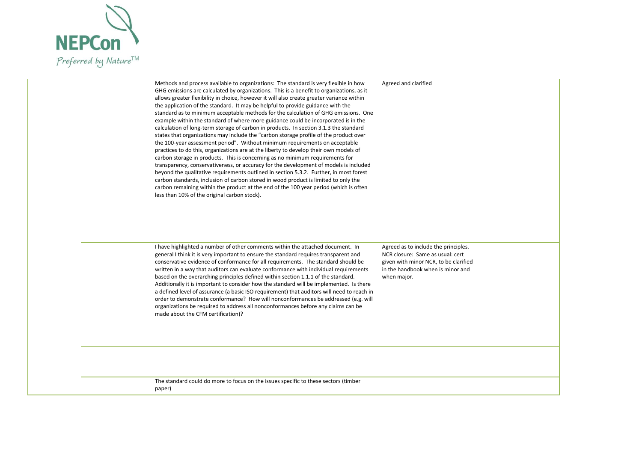

Methods and process available to organizations: The standard is very flexible in how GHG emissions are calculated by organizations. This is a benefit to organizations, as it allows greater flexibility in choice, however it will also create greater variance within the application of the standard. It may be helpful to provide guidance with the standard as to minimum acceptable methods for the calculation of GHG emissions. One example within the standard of where more guidance could be incorporated is in the calculation of long-term storage of carbon in products. In section 3.1.3 the standard states that organizations may include the "carbon storage profile of the product over the 100-year assessment period". Without minimum requirements on acceptable practices to do this, organizations are at the liberty to develop their own models of carbon storage in products. This is concerning as no minimum requirements for transparency, conservativeness, or accuracy for the development of models is included beyond the qualitative requirements outlined in section 5.3.2. Further, in most forest carbon standards, inclusion of carbon stored in wood product is limited to only the carbon remaining within the product at the end of the 100 year period (which is often less than 10% of the original carbon stock). Agreed and clarified I have highlighted a number of other comments within the attached document. In general I think it is very important to ensure the standard requires transparent and conservative evidence of conformance for all requirements. The standard should be written in a way that auditors can evaluate conformance with individual requirements based on the overarching principles defined within section 1.1.1 of the standard. Additionally it is important to consider how the standard will be implemented. Is there a defined level of assurance (a basic ISO requirement) that auditors will need to reach in order to demonstrate conformance? How will nonconformances be addressed (e.g. will organizations be required to address all nonconformances before any claims can be made about the CFM certification)? Agreed as to include the principles. NCR closure: Same as usual: cert given with minor NCR, to be clarified in the handbook when is minor and when major. The standard could do more to focus on the issues specific to these sectors (timber

paper)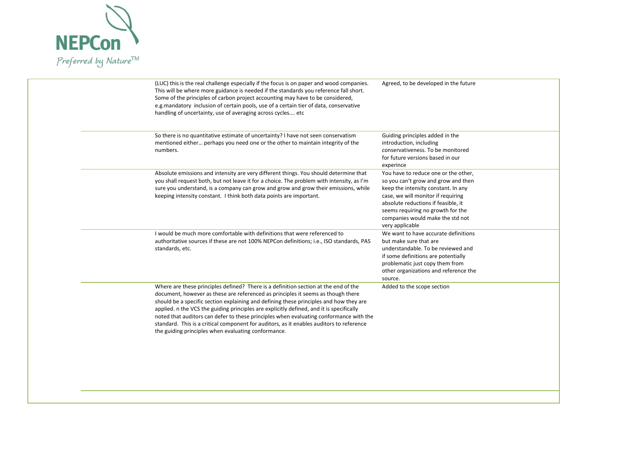

| (LUC) this is the real challenge especially if the focus is on paper and wood companies.<br>Agreed, to be developed in the future<br>This will be where more guidance is needed if the standards you reference fall short.<br>Some of the principles of carbon project accounting may have to be considered,<br>e.g.mandatory inclusion of certain pools, use of a certain tier of data, conservative<br>handling of uncertainty, use of averaging across cycles etc<br>So there is no quantitative estimate of uncertainty? I have not seen conservatism<br>Guiding principles added in the<br>mentioned either perhaps you need one or the other to maintain integrity of the<br>introduction, including<br>conservativeness. To be monitored<br>numbers.<br>for future versions based in our<br>experince<br>Absolute emissions and intensity are very different things. You should determine that<br>You have to reduce one or the other,<br>you shall request both, but not leave it for a choice. The problem with intensity, as I'm<br>so you can't grow and grow and then<br>sure you understand, is a company can grow and grow and grow their emissions, while<br>keep the intensity constant. In any<br>keeping intensity constant. I think both data points are important.<br>case, we will monitor if requiring<br>absolute reductions if feasible, it<br>seems requiring no growth for the<br>companies would make the std not<br>very applicable<br>I would be much more comfortable with definitions that were referenced to<br>We want to have accurate definitions<br>authoritative sources if these are not 100% NEPCon definitions; i.e., ISO standards, PAS<br>but make sure that are<br>understandable. To be reviewed and<br>standards, etc.<br>if some definitions are potentially<br>problematic just copy them from<br>other organizations and reference the<br>source.<br>Where are these principles defined? There is a definition section at the end of the<br>Added to the scope section<br>document, however as these are referenced as principles it seems as though there<br>should be a specific section explaining and defining these principles and how they are<br>applied. n the VCS the guiding principles are explicitly defined, and it is specifically<br>noted that auditors can defer to these principles when evaluating conformance with the<br>standard. This is a critical component for auditors, as it enables auditors to reference<br>the guiding principles when evaluating conformance. |  |  |
|-----------------------------------------------------------------------------------------------------------------------------------------------------------------------------------------------------------------------------------------------------------------------------------------------------------------------------------------------------------------------------------------------------------------------------------------------------------------------------------------------------------------------------------------------------------------------------------------------------------------------------------------------------------------------------------------------------------------------------------------------------------------------------------------------------------------------------------------------------------------------------------------------------------------------------------------------------------------------------------------------------------------------------------------------------------------------------------------------------------------------------------------------------------------------------------------------------------------------------------------------------------------------------------------------------------------------------------------------------------------------------------------------------------------------------------------------------------------------------------------------------------------------------------------------------------------------------------------------------------------------------------------------------------------------------------------------------------------------------------------------------------------------------------------------------------------------------------------------------------------------------------------------------------------------------------------------------------------------------------------------------------------------------------------------------------------------------------------------------------------------------------------------------------------------------------------------------------------------------------------------------------------------------------------------------------------------------------------------------------------------------------------------------------------------------------------------------------------------------------------------------------------------------------------------|--|--|
|                                                                                                                                                                                                                                                                                                                                                                                                                                                                                                                                                                                                                                                                                                                                                                                                                                                                                                                                                                                                                                                                                                                                                                                                                                                                                                                                                                                                                                                                                                                                                                                                                                                                                                                                                                                                                                                                                                                                                                                                                                                                                                                                                                                                                                                                                                                                                                                                                                                                                                                                               |  |  |
|                                                                                                                                                                                                                                                                                                                                                                                                                                                                                                                                                                                                                                                                                                                                                                                                                                                                                                                                                                                                                                                                                                                                                                                                                                                                                                                                                                                                                                                                                                                                                                                                                                                                                                                                                                                                                                                                                                                                                                                                                                                                                                                                                                                                                                                                                                                                                                                                                                                                                                                                               |  |  |
|                                                                                                                                                                                                                                                                                                                                                                                                                                                                                                                                                                                                                                                                                                                                                                                                                                                                                                                                                                                                                                                                                                                                                                                                                                                                                                                                                                                                                                                                                                                                                                                                                                                                                                                                                                                                                                                                                                                                                                                                                                                                                                                                                                                                                                                                                                                                                                                                                                                                                                                                               |  |  |
|                                                                                                                                                                                                                                                                                                                                                                                                                                                                                                                                                                                                                                                                                                                                                                                                                                                                                                                                                                                                                                                                                                                                                                                                                                                                                                                                                                                                                                                                                                                                                                                                                                                                                                                                                                                                                                                                                                                                                                                                                                                                                                                                                                                                                                                                                                                                                                                                                                                                                                                                               |  |  |
|                                                                                                                                                                                                                                                                                                                                                                                                                                                                                                                                                                                                                                                                                                                                                                                                                                                                                                                                                                                                                                                                                                                                                                                                                                                                                                                                                                                                                                                                                                                                                                                                                                                                                                                                                                                                                                                                                                                                                                                                                                                                                                                                                                                                                                                                                                                                                                                                                                                                                                                                               |  |  |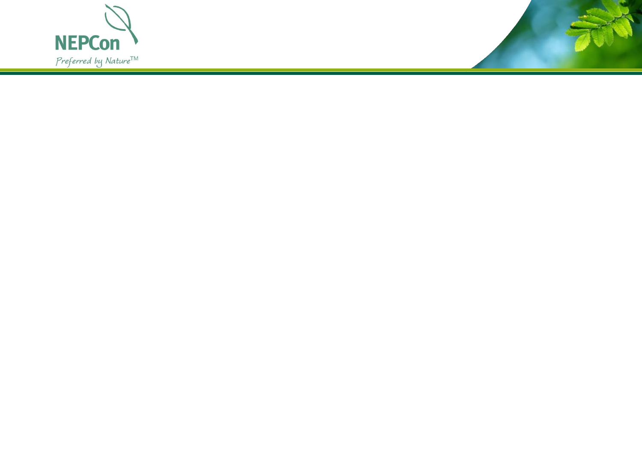

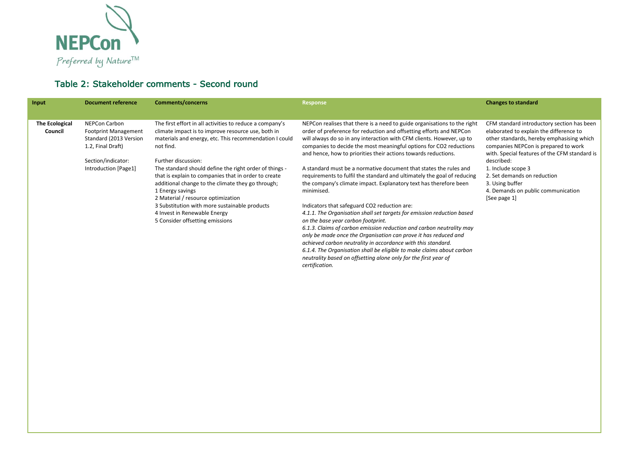

# Table 2: Stakeholder comments - Second round

| Input                            | <b>Document reference</b>                                                                                                                        | <b>Comments/concerns</b>                                                                                                                                                                                                                                                                                                                                                                                                                                                                                                                                          | <b>Response</b>                                                                                                                                                                                                                                                                                                                                                                                                                                                                                                                                                                                                                                                                                                                                                                                                                                                                                                                                                                                                                                                                                                                              | <b>Changes to standard</b>                                                                                                                                                                                                                                                                                                                                              |
|----------------------------------|--------------------------------------------------------------------------------------------------------------------------------------------------|-------------------------------------------------------------------------------------------------------------------------------------------------------------------------------------------------------------------------------------------------------------------------------------------------------------------------------------------------------------------------------------------------------------------------------------------------------------------------------------------------------------------------------------------------------------------|----------------------------------------------------------------------------------------------------------------------------------------------------------------------------------------------------------------------------------------------------------------------------------------------------------------------------------------------------------------------------------------------------------------------------------------------------------------------------------------------------------------------------------------------------------------------------------------------------------------------------------------------------------------------------------------------------------------------------------------------------------------------------------------------------------------------------------------------------------------------------------------------------------------------------------------------------------------------------------------------------------------------------------------------------------------------------------------------------------------------------------------------|-------------------------------------------------------------------------------------------------------------------------------------------------------------------------------------------------------------------------------------------------------------------------------------------------------------------------------------------------------------------------|
|                                  |                                                                                                                                                  |                                                                                                                                                                                                                                                                                                                                                                                                                                                                                                                                                                   |                                                                                                                                                                                                                                                                                                                                                                                                                                                                                                                                                                                                                                                                                                                                                                                                                                                                                                                                                                                                                                                                                                                                              |                                                                                                                                                                                                                                                                                                                                                                         |
| <b>The Ecological</b><br>Council | <b>NEPCon Carbon</b><br><b>Footprint Management</b><br>Standard (2013 Version<br>1.2, Final Draft)<br>Section/indicator:<br>Introduction [Page1] | The first effort in all activities to reduce a company's<br>climate impact is to improve resource use, both in<br>materials and energy, etc. This recommendation I could<br>not find.<br>Further discussion:<br>The standard should define the right order of things -<br>that is explain to companies that in order to create<br>additional change to the climate they go through;<br>1 Energy savings<br>2 Material / resource optimization<br>3 Substitution with more sustainable products<br>4 Invest in Renewable Energy<br>5 Consider offsetting emissions | NEPCon realises that there is a need to guide organisations to the right<br>order of preference for reduction and offsetting efforts and NEPCon<br>will always do so in any interaction with CFM clients. However, up to<br>companies to decide the most meaningful options for CO2 reductions<br>and hence, how to priorities their actions towards reductions.<br>A standard must be a normative document that states the rules and<br>requirements to fulfil the standard and ultimately the goal of reducing<br>the company's climate impact. Explanatory text has therefore been<br>minimised.<br>Indicators that safeguard CO2 reduction are:<br>4.1.1. The Organisation shall set targets for emission reduction based<br>on the base year carbon footprint.<br>6.1.3. Claims of carbon emission reduction and carbon neutrality may<br>only be made once the Organisation can prove it has reduced and<br>achieved carbon neutrality in accordance with this standard.<br>6.1.4. The Organisation shall be eligible to make claims about carbon<br>neutrality based on offsetting alone only for the first year of<br>certification. | CFM standard introductory section has been<br>elaborated to explain the difference to<br>other standards, hereby emphasising which<br>companies NEPCon is prepared to work<br>with. Special features of the CFM standard is<br>described:<br>1. Include scope 3<br>2. Set demands on reduction<br>3. Using buffer<br>4. Demands on public communication<br>[See page 1] |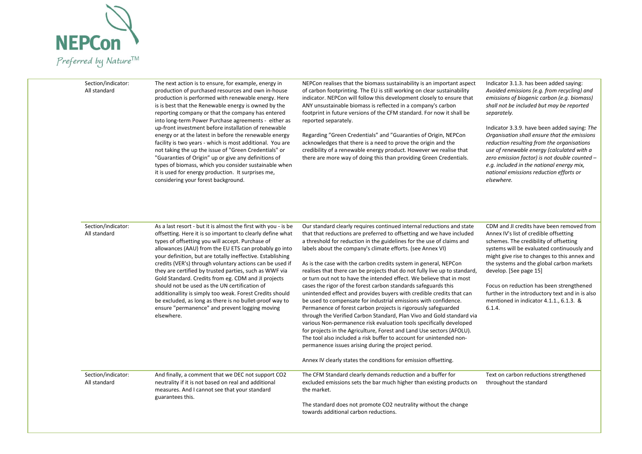

#### Section/indicator: All standard

The next action is to ensure, for example, energy in production of purchased resources and own in-house production is performed with renewable energy. Here is is best that the Renewable energy is owned by the reporting company or that the company has entered into long-term Power Purchase agreements - either as up-front investment before installation of renewable energy or at the latest in before the renewable energy facility is two years - which is most additional. You are not taking the up the issue of "Green Credentials" or "Guaranties of Origin" up or give any definitions of types of biomass, which you consider sustainable when it is used for energy production. It surprises me, considering your forest background.

NEPCon realises that the biomass sustainability is an important aspect of carbon footprinting. The EU is still working on clear sustainability indicator. NEPCon will follow this development closely to ensure that ANY unsustainable biomass is reflected in a company's carbon footprint in future versions of the CFM standard. For now it shall be reported separately.

Regarding "Green Credentials" and "Guaranties of Origin, NEPCon acknowledges that there is a need to prove the origin and the credibility of a renewable energy product. However we realise that there are more way of doing this than providing Green Credentials. Indicator 3.1.3. has been added saying: *Avoided emissions (e.g. from recycling) and emissions of biogenic carbon (e.g. biomass) shall not be included but may be reported separately.*

Indicator 3.3.9. have been added saying: *The Organisation shall ensure that the emissions reduction resulting from the organisations use of renewable energy (calculated with a zero emission factor) is not double counted – e.g. included in the national energy mix, national emissions reduction efforts or elsewhere.*

| Section/indicator:<br>All standard | As a last resort - but it is almost the first with you - is be<br>offsetting. Here it is so important to clearly define what<br>types of offsetting you will accept. Purchase of<br>allowances (AAU) from the EU ETS can probably go into<br>your definition, but are totally ineffective. Establishing<br>credits (VER's) through voluntary actions can be used if<br>they are certified by trusted parties, such as WWF via<br>Gold Standard. Credits from eg. CDM and JI projects<br>should not be used as the UN certification of<br>additionallity is simply too weak. Forest Credits should<br>be excluded, as long as there is no bullet-proof way to<br>ensure "permanence" and prevent logging moving<br>elsewhere. | Our standard clearly requires continued internal reductions and state<br>that that reductions are preferred to offsetting and we have included<br>a threshold for reduction in the guidelines for the use of claims and<br>labels about the company's climate efforts. (see Annex VI)<br>As is the case with the carbon credits system in general, NEPCon<br>realises that there can be projects that do not fully live up to standard,<br>or turn out not to have the intended effect. We believe that in most<br>cases the rigor of the forest carbon standards safeguards this<br>unintended effect and provides buyers with credible credits that can<br>be used to compensate for industrial emissions with confidence.<br>Permanence of forest carbon projects is rigorously safeguarded<br>through the Verified Carbon Standard, Plan Vivo and Gold standard via<br>various Non-permanence risk evaluation tools specifically developed<br>for projects in the Agriculture, Forest and Land Use sectors (AFOLU).<br>The tool also included a risk buffer to account for unintended non-<br>permanence issues arising during the project period. | CDM and JI credits have been removed from<br>Annex IV's list of credible offsetting<br>schemes. The credibility of offsetting<br>systems will be evaluated continuously and<br>might give rise to changes to this annex and<br>the systems and the global carbon markets<br>develop. [See page 15]<br>Focus on reduction has been strengthened<br>further in the introductory text and in is also<br>mentioned in indicator 4.1.1., 6.1.3. &<br>6.1.4. |
|------------------------------------|------------------------------------------------------------------------------------------------------------------------------------------------------------------------------------------------------------------------------------------------------------------------------------------------------------------------------------------------------------------------------------------------------------------------------------------------------------------------------------------------------------------------------------------------------------------------------------------------------------------------------------------------------------------------------------------------------------------------------|--------------------------------------------------------------------------------------------------------------------------------------------------------------------------------------------------------------------------------------------------------------------------------------------------------------------------------------------------------------------------------------------------------------------------------------------------------------------------------------------------------------------------------------------------------------------------------------------------------------------------------------------------------------------------------------------------------------------------------------------------------------------------------------------------------------------------------------------------------------------------------------------------------------------------------------------------------------------------------------------------------------------------------------------------------------------------------------------------------------------------------------------------------|--------------------------------------------------------------------------------------------------------------------------------------------------------------------------------------------------------------------------------------------------------------------------------------------------------------------------------------------------------------------------------------------------------------------------------------------------------|
|                                    |                                                                                                                                                                                                                                                                                                                                                                                                                                                                                                                                                                                                                                                                                                                              | Annex IV clearly states the conditions for emission offsetting.                                                                                                                                                                                                                                                                                                                                                                                                                                                                                                                                                                                                                                                                                                                                                                                                                                                                                                                                                                                                                                                                                        |                                                                                                                                                                                                                                                                                                                                                                                                                                                        |
| Section/indicator:<br>All standard | And finally, a comment that we DEC not support CO2<br>neutrality if it is not based on real and additional<br>measures. And I cannot see that your standard<br>guarantees this.                                                                                                                                                                                                                                                                                                                                                                                                                                                                                                                                              | The CFM Standard clearly demands reduction and a buffer for<br>excluded emissions sets the bar much higher than existing products on<br>the market.<br>The standard does not promote CO2 neutrality without the change<br>towards additional carbon reductions.                                                                                                                                                                                                                                                                                                                                                                                                                                                                                                                                                                                                                                                                                                                                                                                                                                                                                        | Text on carbon reductions strengthened<br>throughout the standard                                                                                                                                                                                                                                                                                                                                                                                      |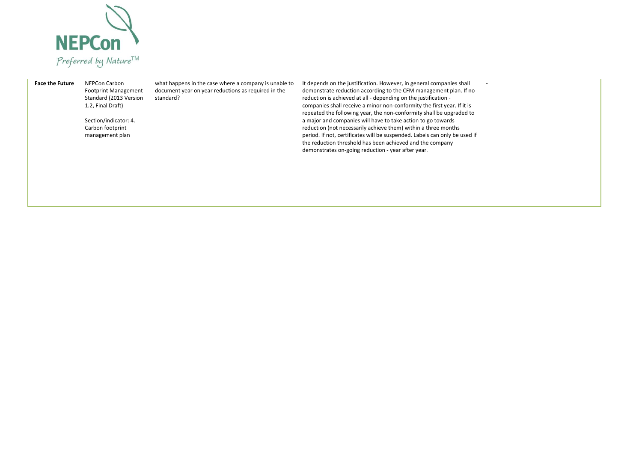

| <b>Face the Future</b> | <b>NEPCon Carbon</b>        | what happens in the case where a company is unable to | It depends on the justification. However, in general companies shall       |
|------------------------|-----------------------------|-------------------------------------------------------|----------------------------------------------------------------------------|
|                        | <b>Footprint Management</b> | document year on year reductions as required in the   | demonstrate reduction according to the CFM management plan. If no          |
|                        | Standard (2013 Version      | standard?                                             | reduction is achieved at all - depending on the justification -            |
|                        | 1.2, Final Draft)           |                                                       | companies shall receive a minor non-conformity the first year. If it is    |
|                        |                             |                                                       | repeated the following year, the non-conformity shall be upgraded to       |
|                        | Section/indicator: 4.       |                                                       | a major and companies will have to take action to go towards               |
|                        | Carbon footprint            |                                                       | reduction (not necessarily achieve them) within a three months             |
|                        | management plan             |                                                       | period. If not, certificates will be suspended. Labels can only be used if |
|                        |                             |                                                       | the reduction threshold has been achieved and the company                  |
|                        |                             |                                                       | demonstrates on-going reduction - year after year.                         |
|                        |                             |                                                       |                                                                            |
|                        |                             |                                                       |                                                                            |
|                        |                             |                                                       |                                                                            |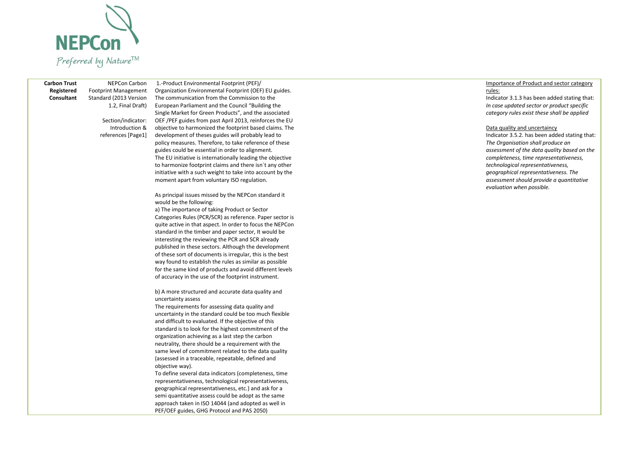

## **Carbon Trust**

**Registered Consultant**

NEPCon Carbon Footprint Management Standard (2013 Version 1.2, Final Draft)

> Section/indicator: Introduction & references [Page1]

1. -Product Environmental Footprint (PEF)/ Organization Environmental Footprint (OEF) EU guides . The communication from the Commission to the European Parliament and the Council "Building the Single Market for Green Products", and the associated OEF /PEF guides from past April 2013, reinforces the EU objective to harmonized the footprint based claims. The development of theses guides will probably lead to policy measures. Therefore, to take reference of these guides could be essential in order to alignment. The EU initiative is internationally leading the objective to harmonize footprint claims and there isn´t any other initiative with a such weight to take into account by the moment apart from voluntary ISO regulation.

#### As principal issues missed by the NEPCon standard it would be the following:

a) The importance of taking Product or Sector Categories Rules (PCR/SCR) as reference. Paper sector is quite active in that aspect. In order to focus the NEPCon standard in the timber and paper sector, It would be interesting the reviewing the PCR and SCR already published in these sectors. Although the development of these sort of documents is irregular, this is the best way found to establish the rules as similar as possible for the same kind of products and avoid different levels of accuracy in the use of the footprint instrument.

#### b) A more structured and accurate data quality and uncertainty assess

The requirements for assessing data quality and uncertainty in the standard could be too much flexible and difficult to evaluated. If the objective of this standard is to look for the highest commitment of the organization achieving as a last step the carbon neutrality, there should be a requirement with the same level of commitment related to the data quality (assessed in a traceable, repeatable, defined and objective way).

To define several data indicators (completeness, time representativeness, technological representativeness, geographical representativeness, etc.) and ask for a semi quantitative assess could be adopt as the same approach taken in ISO 14044 (and adopted as well in PEF/OEF guides, GHG Protocol and PAS 2050)

#### Importance of Product and sector category rules:

Indicator 3.1.3 has been added stating that: *In case updated sector or product specific category rules exist these shall be applied*

#### Data quality and uncertaincy

Indicator 3.5.2. has been added stating that: *The Organisation shall produce an assessment of the data quality based on the completeness, time representativeness, technological representativeness, geographical representativeness. The assessment should provide a quantitative evaluation when possible.*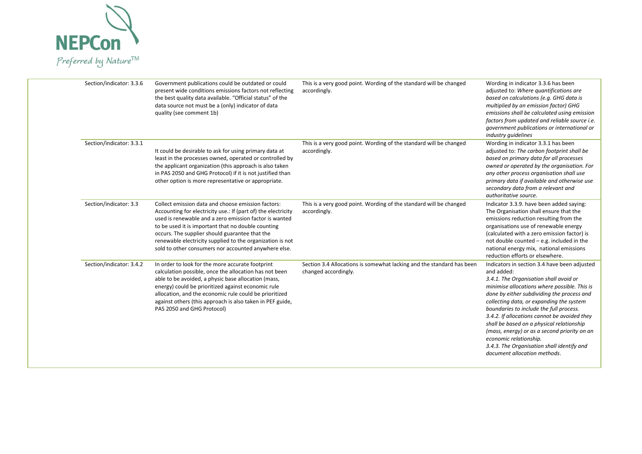

| Section/indicator: 3.3.6 | Government publications could be outdated or could<br>present wide conditions emissions factors not reflecting<br>the best quality data available. "Official status" of the<br>data source not must be a (only) indicator of data<br>quality (see comment 1b)                                                                                                                                              | This is a very good point. Wording of the standard will be changed<br>accordingly.            | Wording in indicator 3.3.6 has been<br>adjusted to: Where quantifications are<br>based on calculations (e.g. GHG data is<br>multiplied by an emission factor) GHG<br>emissions shall be calculated using emission<br>factors from updated and reliable source i.e.<br>government publications or international or<br>industry quidelines                                                                                                                                                                                                       |
|--------------------------|------------------------------------------------------------------------------------------------------------------------------------------------------------------------------------------------------------------------------------------------------------------------------------------------------------------------------------------------------------------------------------------------------------|-----------------------------------------------------------------------------------------------|------------------------------------------------------------------------------------------------------------------------------------------------------------------------------------------------------------------------------------------------------------------------------------------------------------------------------------------------------------------------------------------------------------------------------------------------------------------------------------------------------------------------------------------------|
| Section/indicator: 3.3.1 | It could be desirable to ask for using primary data at<br>least in the processes owned, operated or controlled by<br>the applicant organization (this approach is also taken<br>in PAS 2050 and GHG Protocol) if it is not justified than<br>other option is more representative or appropriate.                                                                                                           | This is a very good point. Wording of the standard will be changed<br>accordingly.            | Wording in indicator 3.3.1 has been<br>adjusted to: The carbon footprint shall be<br>based on primary data for all processes<br>owned or operated by the organisation. For<br>any other process organisation shall use<br>primary data if available and otherwise use<br>secondary data from a relevant and<br>authoritative source.                                                                                                                                                                                                           |
| Section/indicator: 3.3   | Collect emission data and choose emission factors:<br>Accounting for electricity use.: If (part of) the electricity<br>used is renewable and a zero emission factor is wanted<br>to be used it is important that no double counting<br>occurs. The supplier should guarantee that the<br>renewable electricity supplied to the organization is not<br>sold to other consumers nor accounted anywhere else. | This is a very good point. Wording of the standard will be changed<br>accordingly.            | Indicator 3.3.9. have been added saying:<br>The Organisation shall ensure that the<br>emissions reduction resulting from the<br>organisations use of renewable energy<br>(calculated with a zero emission factor) is<br>not double counted $-$ e.g. included in the<br>national energy mix, national emissions<br>reduction efforts or elsewhere.                                                                                                                                                                                              |
| Section/indicator: 3.4.2 | In order to look for the more accurate footprint<br>calculation possible, once the allocation has not been<br>able to be avoided, a physic base allocation (mass,<br>energy) could be prioritized against economic rule<br>allocation, and the economic rule could be prioritized<br>against others (this approach is also taken in PEF guide,<br>PAS 2050 and GHG Protocol)                               | Section 3.4 Allocations is somewhat lacking and the standard has been<br>changed accordingly. | Indicators in section 3.4 have been adjusted<br>and added:<br>3.4.1. The Organisation shall avoid or<br>minimise allocations where possible. This is<br>done by either subdividing the process and<br>collecting data, or expanding the system<br>boundaries to include the full process.<br>3.4.2. If allocations cannot be avoided they<br>shall be based on a physical relationship<br>(mass, energy) or as a second priority on an<br>economic relationship.<br>3.4.3. The Organisation shall identify and<br>document allocation methods. |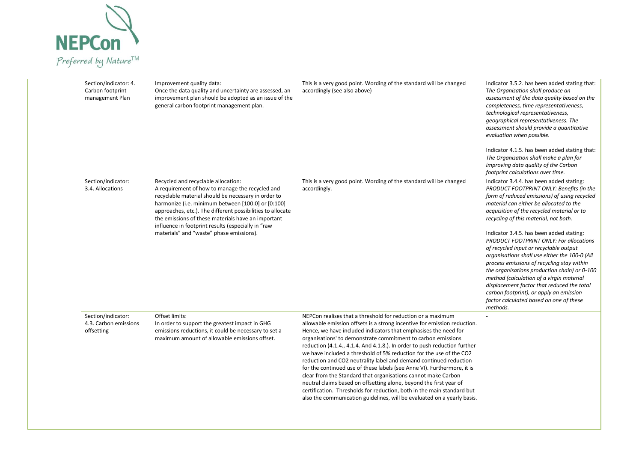

| Section/indicator: 4.<br>Carbon footprint<br>management Plan | Improvement quality data:<br>Once the data quality and uncertainty are assessed, an<br>improvement plan should be adopted as an issue of the<br>general carbon footprint management plan.                                                                                                                                                                                                                                 | This is a very good point. Wording of the standard will be changed<br>accordingly (see also above)                                                                                                                                                                                                                                                                                                                             | Indicator 3.5.2. has been added stating that:<br>The Organisation shall produce an<br>assessment of the data quality based on the<br>completeness, time representativeness,<br>technological representativeness,<br>geographical representativeness. The<br>assessment should provide a quantitative<br>evaluation when possible.                                                                                                                                                                                                                                                                                                                                                                                                                         |
|--------------------------------------------------------------|---------------------------------------------------------------------------------------------------------------------------------------------------------------------------------------------------------------------------------------------------------------------------------------------------------------------------------------------------------------------------------------------------------------------------|--------------------------------------------------------------------------------------------------------------------------------------------------------------------------------------------------------------------------------------------------------------------------------------------------------------------------------------------------------------------------------------------------------------------------------|-----------------------------------------------------------------------------------------------------------------------------------------------------------------------------------------------------------------------------------------------------------------------------------------------------------------------------------------------------------------------------------------------------------------------------------------------------------------------------------------------------------------------------------------------------------------------------------------------------------------------------------------------------------------------------------------------------------------------------------------------------------|
|                                                              |                                                                                                                                                                                                                                                                                                                                                                                                                           |                                                                                                                                                                                                                                                                                                                                                                                                                                | Indicator 4.1.5. has been added stating that:<br>The Organisation shall make a plan for<br>improving data quality of the Carbon<br>footprint calculations over time.                                                                                                                                                                                                                                                                                                                                                                                                                                                                                                                                                                                      |
| Section/indicator:<br>3.4. Allocations                       | Recycled and recyclable allocation:<br>A requirement of how to manage the recycled and<br>recyclable material should be necessary in order to<br>harmonize (i.e. minimum between [100:0] or [0:100]<br>approaches, etc.). The different possibilities to allocate<br>the emissions of these materials have an important<br>influence in footprint results (especially in "raw<br>materials" and "waste" phase emissions). | This is a very good point. Wording of the standard will be changed<br>accordingly.                                                                                                                                                                                                                                                                                                                                             | Indicator 3.4.4. has been added stating:<br>PRODUCT FOOTPRINT ONLY: Benefits (in the<br>form of reduced emissions) of using recycled<br>material can either be allocated to the<br>acquisition of the recycled material or to<br>recycling of this material, not both.<br>Indicator 3.4.5. has been added stating:<br><b>PRODUCT FOOTPRINT ONLY: For allocations</b><br>of recycled input or recyclable output<br>organisations shall use either the 100-0 (All<br>process emissions of recycling stay within<br>the organisations production chain) or 0-100<br>method (calculation of a virgin material<br>displacement factor that reduced the total<br>carbon footprint), or apply an emission<br>factor calculated based on one of these<br>methods. |
| Section/indicator:<br>4.3. Carbon emissions<br>offsetting    | Offset limits:<br>In order to support the greatest impact in GHG<br>emissions reductions, it could be necessary to set a<br>maximum amount of allowable emissions offset.                                                                                                                                                                                                                                                 | NEPCon realises that a threshold for reduction or a maximum<br>allowable emission offsets is a strong incentive for emission reduction.<br>Hence, we have included indicators that emphasises the need for<br>organisations' to demonstrate commitment to carbon emissions<br>reduction (4.1.4., 4.1.4. And 4.1.8.). In order to push reduction further<br>we have included a threshold of 5% reduction for the use of the CO2 |                                                                                                                                                                                                                                                                                                                                                                                                                                                                                                                                                                                                                                                                                                                                                           |

reduction and CO2 neutrality label and demand continued reduction for the continued use of these labels (see Anne VI). Furthermore, it is clear from the Standard that organisations cannot make Carbon neutral claims based on offsetting alone, beyond the first year of certification. Thresholds for reduction, both in the main standard but also the communication guidelines, will be evaluated on a yearly basis.